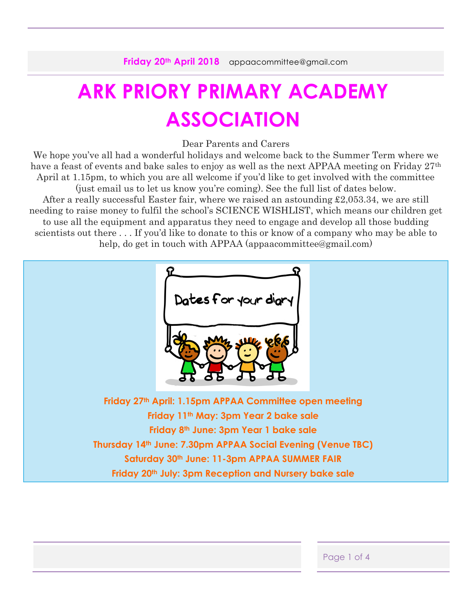# **ARK PRIORY PRIMARY ACADEMY ASSOCIATION**

Dear Parents and Carers

We hope you've all had a wonderful holidays and welcome back to the Summer Term where we have a feast of events and bake sales to enjoy as well as the next APPAA meeting on Friday 27<sup>th</sup> April at 1.15pm, to which you are all welcome if you'd like to get involved with the committee (just email us to let us know you're coming). See the full list of dates below. After a really successful Easter fair, where we raised an astounding £2,053.34, we are still needing to raise money to fulfil the school's SCIENCE WISHLIST, which means our children get to use all the equipment and apparatus they need to engage and develop all those budding scientists out there . . . If you'd like to donate to this or know of a company who may be able to help, do get in touch with APPAA (appaacommittee@gmail.com)



| Page 1 of 4 |
|-------------|
|             |
|             |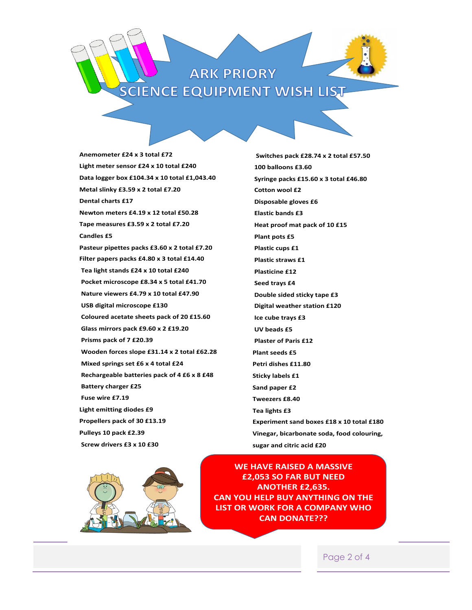## **ARK PRIORY SCIENCE EQUIPMENT WISH LIST**

**Anemometer £24 x 3 total £72** Light meter sensor £24 x 10 total £240 **Data logger box £104.34 x 10 total £1,043.40 Metal slinky £3.59 x 2 total £7.20 Dental charts £17 Newton meters £4.19 x 12 total £50.28 Tape measures £3.59 x 2 total £7.20 Candles £5 Pasteur pipettes packs £3.60 x 2 total £7.20 Filter papers packs £4.80 x 3 total £14.40 Tea light stands £24 x 10 total £240 Pocket microscope £8.34 x 5 total £41.70 Nature viewers £4.79 x 10 total £47.90 USB digital microscope £130 Coloured acetate sheets pack of 20 £15.60 Glass mirrors pack £9.60 x 2 £19.20 Prisms pack of 7 £20.39 Wooden forces slope £31.14 x 2 total £62.28 Mixed springs set £6 x 4 total £24 Rechargeable batteries pack of 4 £6 x 8 £48 Battery charger £25 Fuse wire £7.19 Light emitting diodes £9 Propellers pack of 30 £13.19 Pulleys 10 pack £2.39 Screw drivers £3 x 10 £30** 

> **Switches pack £28.74 x 2 total £57.50 100 balloons £3.60 Syringe packs £15.60 x 3 total £46.80 Cotton wool £2 Disposable gloves £6 Elastic bands £3 Heat proof mat pack of 10 £15 Plant pots £5 Plastic cups £1 Plastic straws £1 Plasticine £12 Seed trays £4 Double sided sticky tape £3 Digital weather station £120 Ice cube trays £3 UV beads £5 Plaster of Paris £12 Plant seeds £5 Petri dishes £11.80 Sticky labels £1 Sand paper £2 Tweezers £8.40 Tea lights £3 Experiment sand boxes £18 x 10 total £180 Vinegar, bicarbonate soda, food colouring, sugar and citric acid £20**



**WE HAVE RAISED A MASSIVE £2,053 SO FAR BUT NEED ANOTHER £2,635. CAN YOU HELP BUY ANYTHING ON THE LIST OR WORK FOR A COMPANY WHO CAN DONATE???** 

Page 2 of 4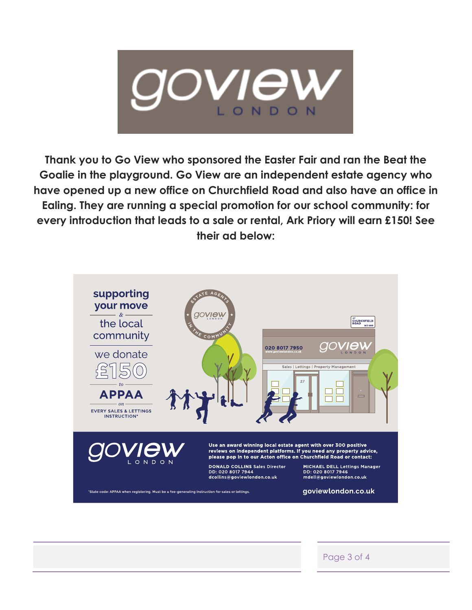

**Thank you to Go View who sponsored the Easter Fair and ran the Beat the Goalie in the playground. Go View are an independent estate agency who have opened up a new office on Churchfield Road and also have an office in Ealing. They are running a special promotion for our school community: for every introduction that leads to a sale or rental, Ark Priory will earn £150! See their ad below:**



Page 3 of 4